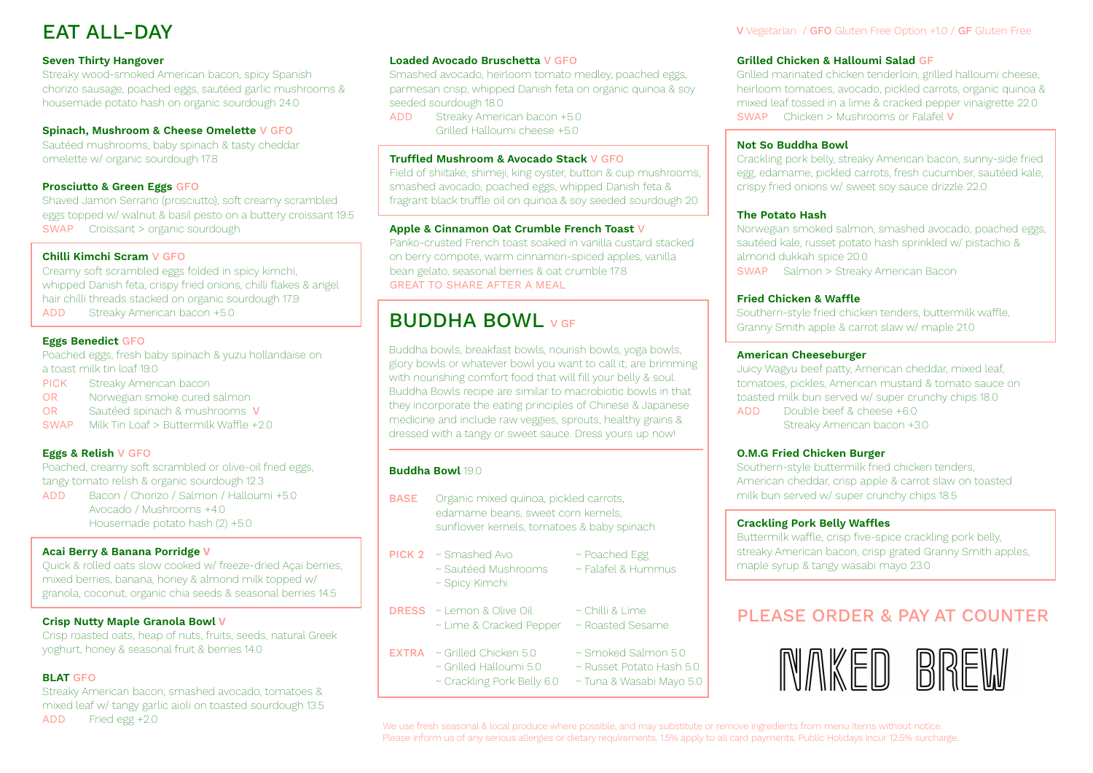## EAT ALL-DAY

## **Seven Thirty Hangover**

Streaky wood-smoked American bacon, spicy Spanish chorizo sausage, poached eggs, sautéed garlic mushrooms & housemade potato hash on organic sourdough 24.0

### **Spinach, Mushroom & Cheese Omelette** V GFO

Sautéed mushrooms, baby spinach & tasty cheddar omelette w/ organic sourdough 17.8

### **Prosciutto & Green Eggs** GFO

Shaved Jamon Serrano (prosciutto), soft creamy scrambled eggs topped w/ walnut & basil pesto on a buttery croissant 19.5 SWAP Croissant > organic sourdough

### **Chilli Kimchi Scram** V GFO

Creamy soft scrambled eggs folded in spicy kimchi, whipped Danish feta, crispy fried onions, chilli flakes & angel hair chilli threads stacked on organic sourdough 17.9 ADD Streaky American bacon +5.0

### **Eggs Benedict** GFO

Poached eggs, fresh baby spinach & yuzu hollandaise on a toast milk tin loaf 19.0 PICK Streaky American bacon

OR Norwegian smoke cured salmon

- OR Sautéed spinach & mushrooms V
- SWAP Milk Tin Loaf > Buttermilk Waffle +2.0

### **Eggs & Relish** V GFO

Poached, creamy soft scrambled or olive-oil fried eggs, tangy tomato relish & organic sourdough 12.3 ADD Bacon / Chorizo / Salmon / Halloumi +5.0

Avocado / Mushrooms +4.0 Housemade potato hash (2) +5.0

### **Acai Berry & Banana Porridge V**

Quick & rolled oats slow cooked w/ freeze-dried Açai berries, mixed berries, banana, honey & almond milk topped w/ granola, coconut, organic chia seeds & seasonal berries 14.5

### **Crisp Nutty Maple Granola Bowl V**

Crisp roasted oats, heap of nuts, fruits, seeds, natural Greek yoghurt, honey & seasonal fruit & berries 14.0

### **BLAT** GFO

Streaky American bacon, smashed avocado, tomatoes & mixed leaf w/ tangy garlic aioli on toasted sourdough 13.5 ADD Fried egg +2.0

#### **Loaded Avocado Bruschetta** V GFO

Smashed avocado, heirloom tomato medley, poached eggs, parmesan crisp, whipped Danish feta on organic quinoa & soy seeded sourdough 18.0

ADD Streaky American bacon +5.0 Grilled Halloumi cheese +5.0

### **Truffled Mushroom & Avocado Stack** V GFO

Field of shiitake, shimeji, king oyster, button & cup mushrooms, smashed avocado, poached eggs, whipped Danish feta & fragrant black truffle oil on quinoa & soy seeded sourdough 20

### **Apple & Cinnamon Oat Crumble French Toast** V

Panko-crusted French toast soaked in vanilla custard stacked on berry compote, warm cinnamon-spiced apples, vanilla bean gelato, seasonal berries & oat crumble 17.8 GREAT TO SHARE AFTER A MEAL

## **BUDDHA BOWL** V GF

Buddha bowls, breakfast bowls, nourish bowls, yoga bowls, glory bowls or whatever bowl you want to call it; are brimming with nourishing comfort food that will fill your belly & soul. Buddha Bowls recipe are similar to macrobiotic bowls in that they incorporate the eating principles of Chinese & Japanese medicine and include raw veggies, sprouts, healthy grains & dressed with a tangy or sweet sauce. Dress yours up now!

### **Buddha Bowl** 19.0

- BASE Organic mixed quinoa, pickled carrots, edamame beans, sweet corn kernels, sunflower kernels, tomatoes & baby spinach
- PICK 2 ~ Smashed Avo ~ Poached Egg
	-
	- ~ Sautéed Mushrooms ~ Falafel & Hummus ~ Spicy Kimchi
- DRESS ~ Lemon & Olive Oil ~ Chilli & Lime ~ Lime & Cracked Pepper ~ Roasted Sesame
- **EXTRA** ~ Grilled Chicken 5.0  $\rightarrow$  Smoked Salmon 5.0
	- ~ Grilled Halloumi 5.0 ~ Russet Potato Hash 5.0
		- ~ Crackling Pork Belly 6.0 ~ Tuna & Wasabi Mayo 5.0

#### V Vegetarian / GFO Gluten Free Option +1.0 / GF Gluten Free

### **Grilled Chicken & Halloumi Salad** GF

Grilled marinated chicken tenderloin, grilled halloumi cheese, heirloom tomatoes, avocado, pickled carrots, organic quinoa & mixed leaf tossed in a lime & cracked pepper vinaigrette 22.0 SWAP Chicken > Mushrooms or Falafel V

#### **Not So Buddha Bowl**

Crackling pork belly, streaky American bacon, sunny-side fried egg, edamame, pickled carrots, fresh cucumber, sautéed kale, crispy fried onions w/ sweet soy sauce drizzle 22.0

#### **The Potato Hash**

Norwegian smoked salmon, smashed avocado, poached eggs, sautéed kale, russet potato hash sprinkled w/ pistachio & almond dukkah spice 20.0 SWAP Salmon > Streaky American Bacon

### **Fried Chicken & Waffle**

Southern-style fried chicken tenders, buttermilk waffle, Granny Smith apple & carrot slaw w/ maple 21.0

#### **American Cheeseburger**

Juicy Wagyu beef patty, American cheddar, mixed leaf, tomatoes, pickles, American mustard & tomato sauce on toasted milk bun served w/ super crunchy chips 18.0 ADD Double beef & cheese +6.0 Streaky American bacon +3.0

### **O.M.G Fried Chicken Burger**

Southern-style buttermilk fried chicken tenders, American cheddar, crisp apple & carrot slaw on toasted milk bun served w/ super crunchy chips 18.5

#### **Crackling Pork Belly Waffles**

Buttermilk waffle, crisp five-spice crackling pork belly, streaky American bacon, crisp grated Granny Smith apples, maple syrup & tangy wasabi mayo 23.0

## PLEASE ORDER & PAY AT COUNTER



We use fresh seasonal & local produce where possible, and may substitute or remove ingredients from menu items without notice. Please inform us of any serious allergies or dietary requirements. 1.5% apply to all card payments. Public Holidays incur 12.5% surcharge.